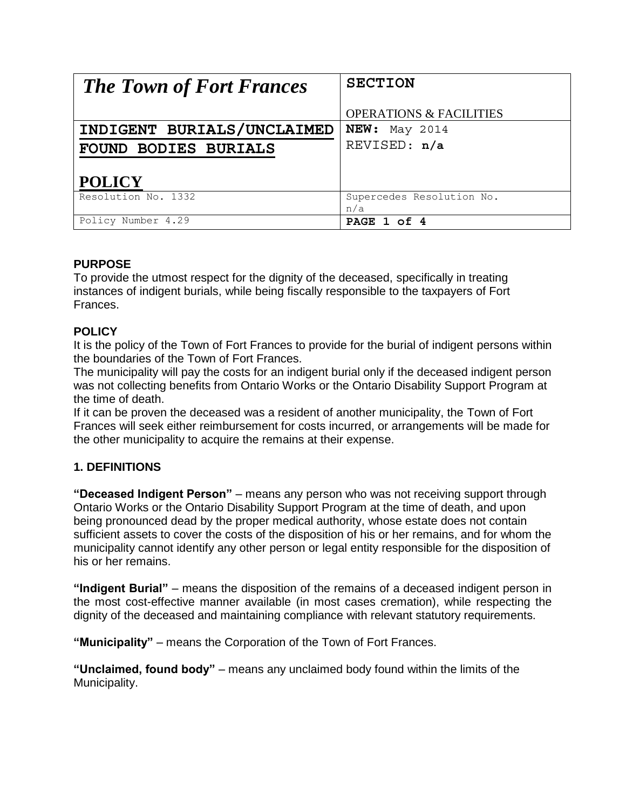| <b>The Town of Fort Frances</b> | <b>SECTION</b>                     |
|---------------------------------|------------------------------------|
|                                 | <b>OPERATIONS &amp; FACILITIES</b> |
| INDIGENT BURIALS/UNCLAIMED      | <b>NEW:</b> May 2014               |
| <b>FOUND BODIES BURIALS</b>     | REVISED: n/a                       |
| <b>POLICY</b>                   |                                    |
| Resolution No. 1332             | Supercedes Resolution No.<br>n/a   |
| Policy Number 4.29              | PAGE 1 of 4                        |

# **PURPOSE**

To provide the utmost respect for the dignity of the deceased, specifically in treating instances of indigent burials, while being fiscally responsible to the taxpayers of Fort Frances.

# **POLICY**

It is the policy of the Town of Fort Frances to provide for the burial of indigent persons within the boundaries of the Town of Fort Frances.

The municipality will pay the costs for an indigent burial only if the deceased indigent person was not collecting benefits from Ontario Works or the Ontario Disability Support Program at the time of death.

If it can be proven the deceased was a resident of another municipality, the Town of Fort Frances will seek either reimbursement for costs incurred, or arrangements will be made for the other municipality to acquire the remains at their expense.

# **1. DEFINITIONS**

**"Deceased Indigent Person"** – means any person who was not receiving support through Ontario Works or the Ontario Disability Support Program at the time of death, and upon being pronounced dead by the proper medical authority, whose estate does not contain sufficient assets to cover the costs of the disposition of his or her remains, and for whom the municipality cannot identify any other person or legal entity responsible for the disposition of his or her remains.

**"Indigent Burial"** – means the disposition of the remains of a deceased indigent person in the most cost-effective manner available (in most cases cremation), while respecting the dignity of the deceased and maintaining compliance with relevant statutory requirements.

**"Municipality"** – means the Corporation of the Town of Fort Frances.

**"Unclaimed, found body"** – means any unclaimed body found within the limits of the Municipality.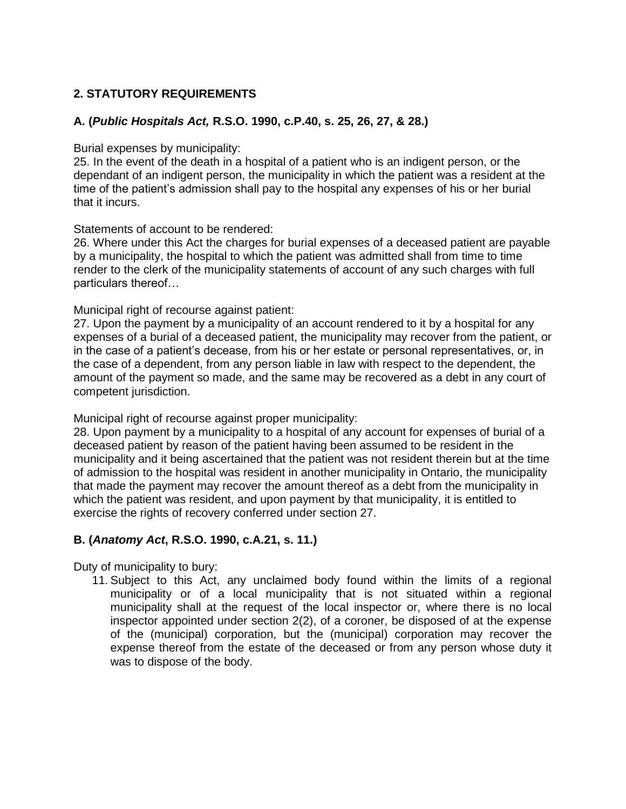## **2. STATUTORY REQUIREMENTS**

### **A. (***Public Hospitals Act,* **R.S.O. 1990, c.P.40, s. 25, 26, 27, & 28.)**

#### Burial expenses by municipality:

25. In the event of the death in a hospital of a patient who is an indigent person, or the dependant of an indigent person, the municipality in which the patient was a resident at the time of the patient's admission shall pay to the hospital any expenses of his or her burial that it incurs.

#### Statements of account to be rendered:

26. Where under this Act the charges for burial expenses of a deceased patient are payable by a municipality, the hospital to which the patient was admitted shall from time to time render to the clerk of the municipality statements of account of any such charges with full particulars thereof…

### Municipal right of recourse against patient:

27. Upon the payment by a municipality of an account rendered to it by a hospital for any expenses of a burial of a deceased patient, the municipality may recover from the patient, or in the case of a patient's decease, from his or her estate or personal representatives, or, in the case of a dependent, from any person liable in law with respect to the dependent, the amount of the payment so made, and the same may be recovered as a debt in any court of competent jurisdiction.

Municipal right of recourse against proper municipality:

28. Upon payment by a municipality to a hospital of any account for expenses of burial of a deceased patient by reason of the patient having been assumed to be resident in the municipality and it being ascertained that the patient was not resident therein but at the time of admission to the hospital was resident in another municipality in Ontario, the municipality that made the payment may recover the amount thereof as a debt from the municipality in which the patient was resident, and upon payment by that municipality, it is entitled to exercise the rights of recovery conferred under section 27.

### **B. (***Anatomy Act***, R.S.O. 1990, c.A.21, s. 11.)**

Duty of municipality to bury:

11. Subject to this Act, any unclaimed body found within the limits of a regional municipality or of a local municipality that is not situated within a regional municipality shall at the request of the local inspector or, where there is no local inspector appointed under section 2(2), of a coroner, be disposed of at the expense of the (municipal) corporation, but the (municipal) corporation may recover the expense thereof from the estate of the deceased or from any person whose duty it was to dispose of the body.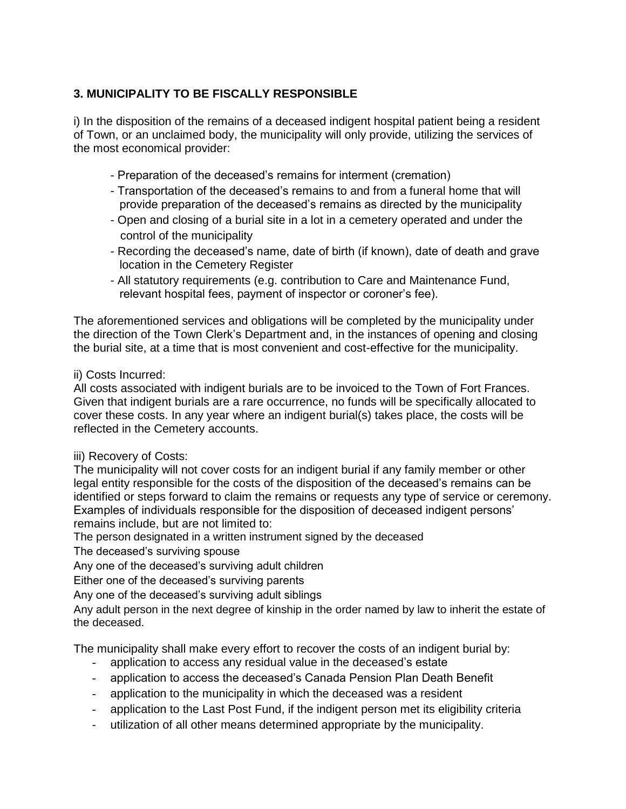# **3. MUNICIPALITY TO BE FISCALLY RESPONSIBLE**

i) In the disposition of the remains of a deceased indigent hospital patient being a resident of Town, or an unclaimed body, the municipality will only provide, utilizing the services of the most economical provider:

- Preparation of the deceased's remains for interment (cremation)
- Transportation of the deceased's remains to and from a funeral home that will provide preparation of the deceased's remains as directed by the municipality
- Open and closing of a burial site in a lot in a cemetery operated and under the control of the municipality
- Recording the deceased's name, date of birth (if known), date of death and grave location in the Cemetery Register
- All statutory requirements (e.g. contribution to Care and Maintenance Fund, relevant hospital fees, payment of inspector or coroner's fee).

The aforementioned services and obligations will be completed by the municipality under the direction of the Town Clerk's Department and, in the instances of opening and closing the burial site, at a time that is most convenient and cost-effective for the municipality.

## ii) Costs Incurred:

All costs associated with indigent burials are to be invoiced to the Town of Fort Frances. Given that indigent burials are a rare occurrence, no funds will be specifically allocated to cover these costs. In any year where an indigent burial(s) takes place, the costs will be reflected in the Cemetery accounts.

## iii) Recovery of Costs:

The municipality will not cover costs for an indigent burial if any family member or other legal entity responsible for the costs of the disposition of the deceased's remains can be identified or steps forward to claim the remains or requests any type of service or ceremony. Examples of individuals responsible for the disposition of deceased indigent persons' remains include, but are not limited to:

The person designated in a written instrument signed by the deceased

The deceased's surviving spouse

Any one of the deceased's surviving adult children

Either one of the deceased's surviving parents

Any one of the deceased's surviving adult siblings

Any adult person in the next degree of kinship in the order named by law to inherit the estate of the deceased.

The municipality shall make every effort to recover the costs of an indigent burial by:

- application to access any residual value in the deceased's estate
- application to access the deceased's Canada Pension Plan Death Benefit
- application to the municipality in which the deceased was a resident
- application to the Last Post Fund, if the indigent person met its eligibility criteria
- utilization of all other means determined appropriate by the municipality.